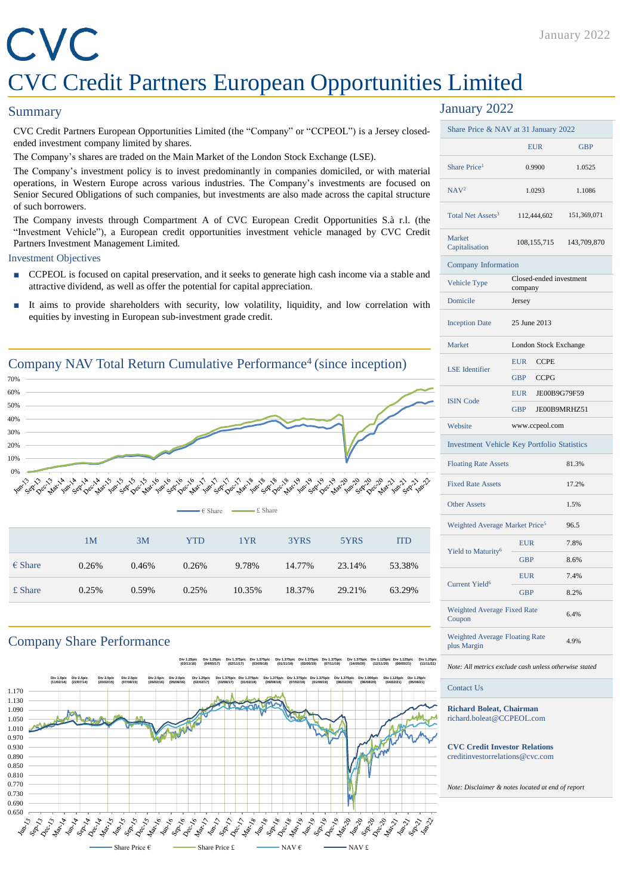# CVC CVC Credit Partners European Opportunities Limited

### **Summary**

CVC Credit Partners European Opportunities Limited (the "Company" or "CCPEOL") is a Jersey closedended investment company limited by shares.

The Company's shares are traded on the Main Market of the London Stock Exchange (LSE).

The Company's investment policy is to invest predominantly in companies domiciled, or with material operations, in Western Europe across various industries. The Company's investments are focused on Senior Secured Obligations of such companies, but investments are also made across the capital structure of such borrowers.

The Company invests through Compartment A of CVC European Credit Opportunities S.à r.l. (the "Investment Vehicle"), a European credit opportunities investment vehicle managed by CVC Credit Partners Investment Management Limited.

#### Investment Objectives

- CCPEOL is focused on capital preservation, and it seeks to generate high cash income via a stable and attractive dividend, as well as offer the potential for capital appreciation.
- It aims to provide shareholders with security, low volatility, liquidity, and low correlation with equities by investing in European sub-investment grade credit.



## Company Share Performance

**Div 1.25p/c (03/11/16) Div 1.25p/c (04/05/17) Div 1.375p/c (02/11/17) Div 1.375p/c (03/05/18) Div 1.375p/c (01/11/18) Div 1.375p/c (02/05/19) Div 1.375p/c (07/11/19) Div 1.375p/c (14/05/20) Div 1.125p/c (12/11/20) Div 1.125p/c (06/05/21) Div 1.25p/c (11/11/21)**



## January 2022

| Share Price & NAV at 31 January 2022               |                                    |                     |  |
|----------------------------------------------------|------------------------------------|---------------------|--|
|                                                    | <b>EUR</b>                         | <b>GBP</b>          |  |
| Share Price <sup>1</sup>                           | 0.9900                             | 1.0525              |  |
| NAV <sup>2</sup>                                   | 1.0293                             | 1.1086              |  |
| Total Net Assets <sup>3</sup>                      | 112,444,602                        | 151,369,071         |  |
| Market<br>Capitalisation                           | 108, 155, 715                      | 143,709,870         |  |
|                                                    | Company Information                |                     |  |
| Vehicle Type                                       | Closed-ended investment<br>company |                     |  |
| Domicile                                           | Jersey                             |                     |  |
| <b>Inception Date</b>                              | 25 June 2013                       |                     |  |
| Market                                             | London Stock Exchange              |                     |  |
| <b>LSE</b> Identifier                              | <b>EUR</b><br><b>CCPE</b>          |                     |  |
|                                                    | <b>GBP</b><br><b>CCPG</b>          |                     |  |
| <b>ISIN Code</b>                                   | <b>EUR</b>                         | JE00B9G79F59        |  |
|                                                    | <b>GBP</b>                         | <b>JE00B9MRHZ51</b> |  |
| Website                                            | www.ccpeol.com                     |                     |  |
| <b>Investment Vehicle Key Portfolio Statistics</b> |                                    |                     |  |
| <b>Floating Rate Assets</b>                        |                                    | 81.3%               |  |
| <b>Fixed Rate Assets</b>                           |                                    | 17.2%               |  |
| <b>Other Assets</b>                                |                                    | 1.5%                |  |
| Weighted Average Market Price <sup>5</sup>         |                                    | 96.5                |  |
| Yield to Maturity <sup>6</sup>                     | <b>EUR</b>                         | 7.8%                |  |
|                                                    | <b>GBP</b>                         | 8.6%                |  |
| <b>Current Yield<sup>6</sup></b>                   | <b>EUR</b>                         | 7.4%                |  |
|                                                    | <b>GBP</b>                         | 8.2%                |  |
| Weighted Average Fixed Rate<br>Coupon              |                                    | 6.4%                |  |
| Weighted Average Floating Rate<br>plus Margin      |                                    | 4.9%                |  |
|                                                    |                                    |                     |  |

*Note: All metrics exclude cash unless otherwise stated*

#### Contact Us

**Richard Boleat, Chairman** richard.boleat@CCPEOL.com

**CVC Credit Investor Relations** creditinvestorrelations@cvc.com

*Note: Disclaimer & notes located at end of report*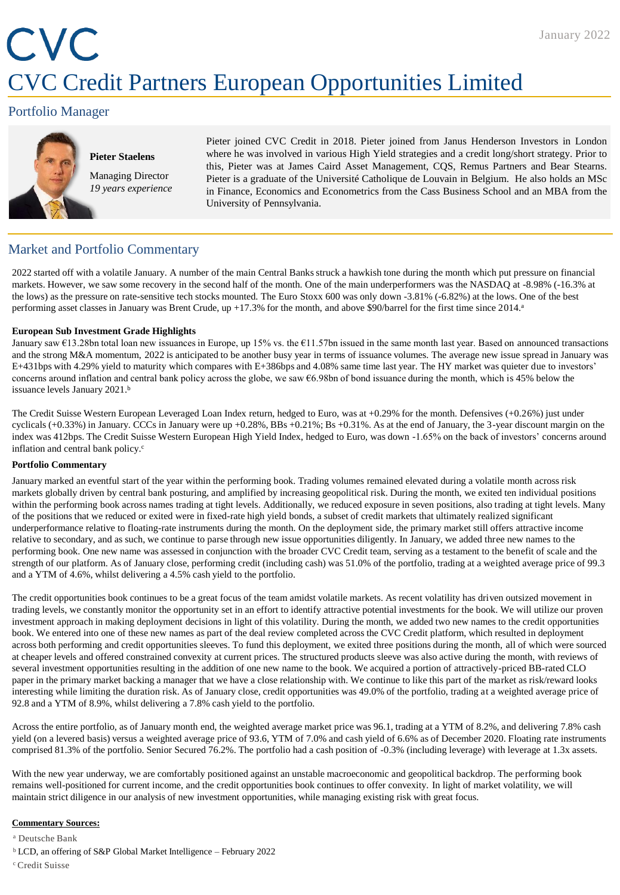# CVC CVC Credit Partners European Opportunities Limited

## Portfolio Manager



**Pieter Staelens** Managing Director *19 years experience* Pieter joined CVC Credit in 2018. Pieter joined from Janus Henderson Investors in London where he was involved in various High Yield strategies and a credit long/short strategy. Prior to this, Pieter was at James Caird Asset Management, CQS, Remus Partners and Bear Stearns. Pieter is a graduate of the Université Catholique de Louvain in Belgium. He also holds an MSc in Finance, Economics and Econometrics from the Cass Business School and an MBA from the University of Pennsylvania.

# Market and Portfolio Commentary

2022 started off with a volatile January. A number of the main Central Banks struck a hawkish tone during the month which put pressure on financial markets. However, we saw some recovery in the second half of the month. One of the main underperformers was the NASDAQ at -8.98% (-16.3% at the lows) as the pressure on rate-sensitive tech stocks mounted. The Euro Stoxx 600 was only down -3.81% (-6.82%) at the lows. One of the best performing asset classes in January was Brent Crude, up +17.3% for the month, and above \$90/barrel for the first time since 2014. a

#### **European Sub Investment Grade Highlights**

January saw €13.28bn total loan new issuances in Europe, up 15% vs. the €11.57bn issued in the same month last year. Based on announced transactions and the strong M&A momentum, 2022 is anticipated to be another busy year in terms of issuance volumes. The average new issue spread in January was E+431bps with 4.29% yield to maturity which compares with E+386bps and 4.08% same time last year. The HY market was quieter due to investors' concerns around inflation and central bank policy across the globe, we saw  $66.98$ bn of bond issuance during the month, which is 45% below the issuance levels January 2021.b

The Credit Suisse Western European Leveraged Loan Index return, hedged to Euro, was at +0.29% for the month. Defensives (+0.26%) just under cyclicals (+0.33%) in January. CCCs in January were up +0.28%, BBs +0.21%; Bs +0.31%. As at the end of January, the 3-year discount margin on the index was 412bps. The Credit Suisse Western European High Yield Index, hedged to Euro, was down -1.65% on the back of investors' concerns around inflation and central bank policy.<sup>c</sup>

#### **Portfolio Commentary**

January marked an eventful start of the year within the performing book. Trading volumes remained elevated during a volatile month across risk markets globally driven by central bank posturing, and amplified by increasing geopolitical risk. During the month, we exited ten individual positions within the performing book across names trading at tight levels. Additionally, we reduced exposure in seven positions, also trading at tight levels. Many of the positions that we reduced or exited were in fixed-rate high yield bonds, a subset of credit markets that ultimately realized significant underperformance relative to floating-rate instruments during the month. On the deployment side, the primary market still offers attractive income relative to secondary, and as such, we continue to parse through new issue opportunities diligently. In January, we added three new names to the performing book. One new name was assessed in conjunction with the broader CVC Credit team, serving as a testament to the benefit of scale and the strength of our platform. As of January close, performing credit (including cash) was 51.0% of the portfolio, trading at a weighted average price of 99.3 and a YTM of 4.6%, whilst delivering a 4.5% cash yield to the portfolio.

The credit opportunities book continues to be a great focus of the team amidst volatile markets. As recent volatility has driven outsized movement in trading levels, we constantly monitor the opportunity set in an effort to identify attractive potential investments for the book. We will utilize our proven investment approach in making deployment decisions in light of this volatility. During the month, we added two new names to the credit opportunities book. We entered into one of these new names as part of the deal review completed across the CVC Credit platform, which resulted in deployment across both performing and credit opportunities sleeves. To fund this deployment, we exited three positions during the month, all of which were sourced at cheaper levels and offered constrained convexity at current prices. The structured products sleeve was also active during the month, with reviews of several investment opportunities resulting in the addition of one new name to the book. We acquired a portion of attractively-priced BB-rated CLO paper in the primary market backing a manager that we have a close relationship with. We continue to like this part of the market as risk/reward looks interesting while limiting the duration risk. As of January close, credit opportunities was 49.0% of the portfolio, trading at a weighted average price of 92.8 and a YTM of 8.9%, whilst delivering a 7.8% cash yield to the portfolio.

Across the entire portfolio, as of January month end, the weighted average market price was 96.1, trading at a YTM of 8.2%, and delivering 7.8% cash yield (on a levered basis) versus a weighted average price of 93.6, YTM of 7.0% and cash yield of 6.6% as of December 2020. Floating rate instruments comprised 81.3% of the portfolio. Senior Secured 76.2%. The portfolio had a cash position of -0.3% (including leverage) with leverage at 1.3x assets.

With the new year underway, we are comfortably positioned against an unstable macroeconomic and geopolitical backdrop. The performing book remains well-positioned for current income, and the credit opportunities book continues to offer convexity. In light of market volatility, we will maintain strict diligence in our analysis of new investment opportunities, while managing existing risk with great focus.

#### **Commentary Sources:**

<sup>a</sup> Deutsche Bank

- $b$  LCD, an offering of S&P Global Market Intelligence February 2022
- <sup>c</sup>Credit Suisse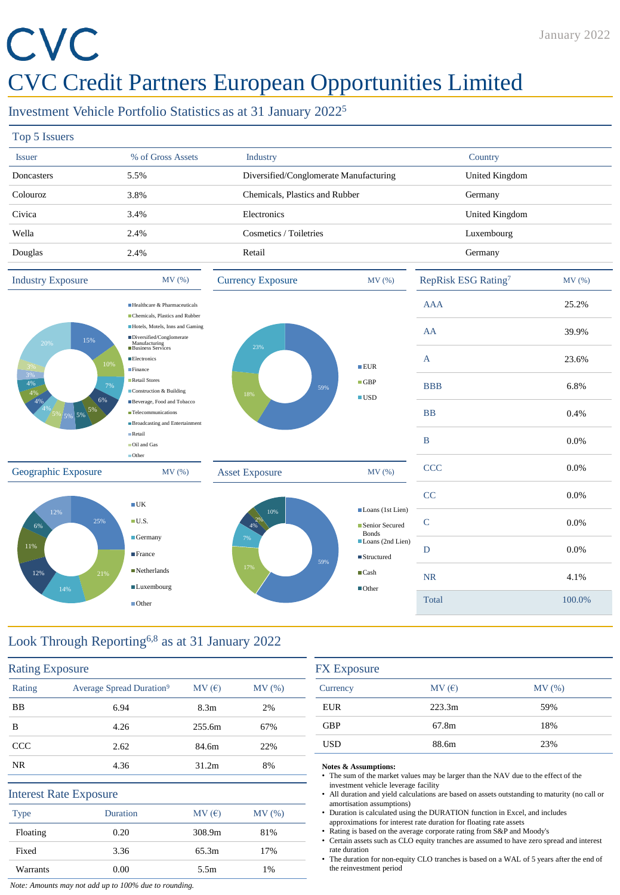# CVC

# CVC Credit Partners European Opportunities Limited

# Investment Vehicle Portfolio Statistics as at 31 January 2022<sup>5</sup>

| Top 5 Issuers                |                                                                     |                                        |            |                     |       |
|------------------------------|---------------------------------------------------------------------|----------------------------------------|------------|---------------------|-------|
| <b>Issuer</b>                | % of Gross Assets                                                   | <b>Industry</b>                        |            | Country             |       |
| Doncasters                   | 5.5%                                                                | Diversified/Conglomerate Manufacturing |            | United Kingdom      |       |
| Colouroz                     | 3.8%                                                                | Chemicals, Plastics and Rubber         |            | Germany             |       |
| Civica                       | 3.4%                                                                | Electronics                            |            | United Kingdom      |       |
| Wella                        | 2.4%                                                                | Cosmetics / Toiletries                 |            | Luxembourg          |       |
| Douglas                      | 2.4%                                                                | Retail                                 |            | Germany             |       |
| <b>Industry Exposure</b>     | MV(%)                                                               | <b>Currency Exposure</b>               | MV(%)      | RepRisk ESG Rating7 | MV(%) |
|                              | Healthcare & Pharmaceuticals<br>Chemicals, Plastics and Rubber      |                                        |            | <b>AAA</b>          | 25.2% |
| 15%<br>20%                   | Hotels, Motels, Inns and Gaming<br>Diversified/Conglomerate         |                                        |            | AA                  | 39.9% |
| 10%                          | Manufacturing<br>Business Services<br><b>Electronics</b><br>Finance | 23%                                    | EUR        | A                   | 23.6% |
| 3%<br>4%<br>7%<br>$A \cap I$ | Retail Stores<br>$\blacksquare$ Construction & Building             | 59%                                    | $\Box$ GBP | <b>BBB</b>          | 6.8%  |



 $\blacksquare$ UK  $\blacksquare$  U.S. Germany **France** ■Netherlands **Luxembourg** ■Other





4% 2%

59%

| MV (%)                                        | RepRisk ESG Rating <sup>7</sup> | MV (%) |
|-----------------------------------------------|---------------------------------|--------|
|                                               | <b>AAA</b>                      | 25.2%  |
|                                               | AA                              | 39.9%  |
| ■EUR                                          | $\overline{A}$                  | 23.6%  |
| $\Box$ GBP<br>$\blacksquare$ USD              | <b>BBB</b>                      | 6.8%   |
|                                               | <b>BB</b>                       | 0.4%   |
|                                               | B                               | 0.0%   |
| MV (%)                                        | <b>CCC</b>                      | 0.0%   |
| Loans (1st Lien)                              | CC                              | 0.0%   |
| Senior Secured<br><b>Bonds</b>                | $\mathsf{C}$                    | 0.0%   |
| Loans (2nd Lien)<br>$\blacksquare$ Structured | D                               | 0.0%   |
| $\blacksquare$ Cash<br>$\blacksquare$ Other   | <b>NR</b>                       | 4.1%   |
|                                               | Total                           | 100.0% |

# Look Through Reporting6,8 as at 31 January 2022

14%

12%

6%

4%

12%

 $5\%$  5% 5%  $5\%$ 

| Rating      | Average Spread Duration <sup>9</sup> | MV(E)            | MV(%) |
|-------------|--------------------------------------|------------------|-------|
| BB          | 6.94                                 | 8.3 <sub>m</sub> | 2%    |
| B           | 4.26                                 | 255.6m           | 67%   |
| CCC         | 2.62                                 | 84.6m            | 22%   |
| NR.         | 4.36                                 | 31.2m            | 8%    |
|             | <b>Interest Rate Exposure</b>        |                  |       |
| <b>Type</b> | <b>Duration</b>                      | MV(E)            | MV(%) |
| Floating    | 0.20                                 | 308.9m           | 81%   |
| Fixed       | 3.36                                 | 65.3m            | 17%   |
| Warrants    | 0.00                                 | 5.5m             | $1\%$ |

| <b>FX</b> Exposure |        |       |
|--------------------|--------|-------|
| Currency           | MV(E)  | MV(%) |
| <b>EUR</b>         | 223.3m | 59%   |
| <b>GBP</b>         | 67.8m  | 18%   |
| USD                | 88.6m  | 23%   |

#### **Notes & Assumptions:**

- The sum of the market values may be larger than the NAV due to the effect of the investment vehicle leverage facility
- All duration and yield calculations are based on assets outstanding to maturity (no call or amortisation assumptions)
- Duration is calculated using the DURATION function in Excel, and includes approximations for interest rate duration for floating rate assets
- Rating is based on the average corporate rating from S&P and Moody's
- Certain assets such as CLO equity tranches are assumed to have zero spread and interest rate duration
- The duration for non-equity CLO tranches is based on a WAL of 5 years after the end of the reinvestment period

*Note: Amounts may not add up to 100% due to rounding.*